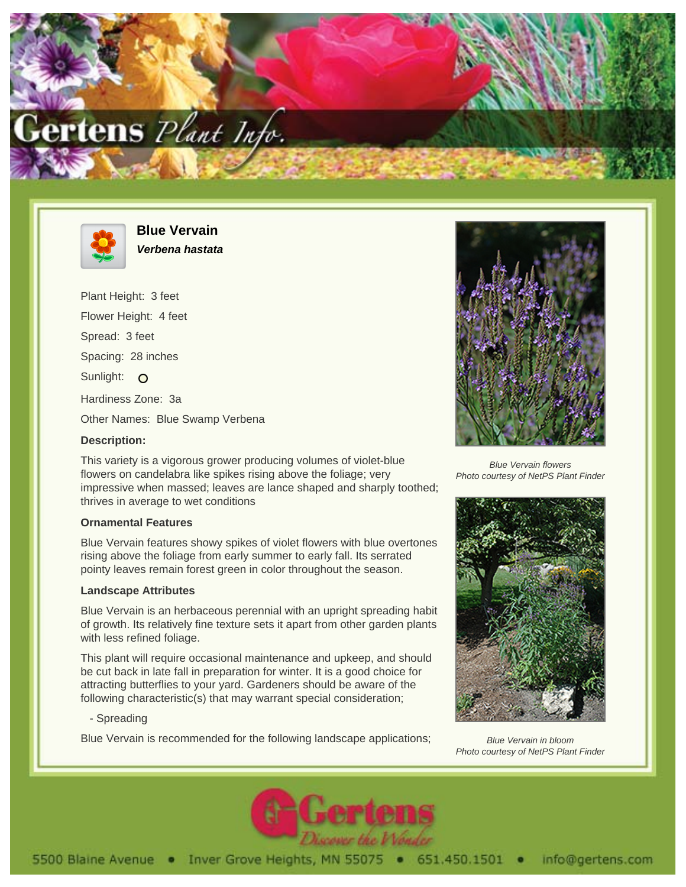



**Blue Vervain Verbena hastata**

Plant Height: 3 feet Flower Height: 4 feet Spread: 3 feet Spacing: 28 inches Sunlight: O Hardiness Zone: 3a

Other Names: Blue Swamp Verbena

# **Description:**

This variety is a vigorous grower producing volumes of violet-blue flowers on candelabra like spikes rising above the foliage; very impressive when massed; leaves are lance shaped and sharply toothed; thrives in average to wet conditions

# **Ornamental Features**

Blue Vervain features showy spikes of violet flowers with blue overtones rising above the foliage from early summer to early fall. Its serrated pointy leaves remain forest green in color throughout the season.

# **Landscape Attributes**

Blue Vervain is an herbaceous perennial with an upright spreading habit of growth. Its relatively fine texture sets it apart from other garden plants with less refined foliage.

This plant will require occasional maintenance and upkeep, and should be cut back in late fall in preparation for winter. It is a good choice for attracting butterflies to your yard. Gardeners should be aware of the following characteristic(s) that may warrant special consideration;

# - Spreading

Blue Vervain is recommended for the following landscape applications;



Blue Vervain flowers Photo courtesy of NetPS Plant Finder



Blue Vervain in bloom Photo courtesy of NetPS Plant Finder